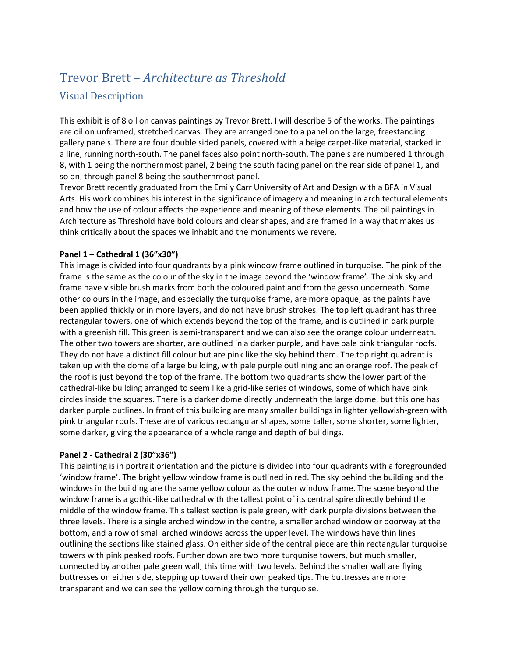# Trevor Brett – *Architecture as Threshold*

# Visual Description

This exhibit is of 8 oil on canvas paintings by Trevor Brett. I will describe 5 of the works. The paintings are oil on unframed, stretched canvas. They are arranged one to a panel on the large, freestanding gallery panels. There are four double sided panels, covered with a beige carpet-like material, stacked in a line, running north-south. The panel faces also point north-south. The panels are numbered 1 through 8, with 1 being the northernmost panel, 2 being the south facing panel on the rear side of panel 1, and so on, through panel 8 being the southernmost panel.

Trevor Brett recently graduated from the Emily Carr University of Art and Design with a BFA in Visual Arts. His work combines his interest in the significance of imagery and meaning in architectural elements and how the use of colour affects the experience and meaning of these elements. The oil paintings in Architecture as Threshold have bold colours and clear shapes, and are framed in a way that makes us think critically about the spaces we inhabit and the monuments we revere.

## **Panel 1 – Cathedral 1 (36"x30")**

This image is divided into four quadrants by a pink window frame outlined in turquoise. The pink of the frame is the same as the colour of the sky in the image beyond the 'window frame'. The pink sky and frame have visible brush marks from both the coloured paint and from the gesso underneath. Some other colours in the image, and especially the turquoise frame, are more opaque, as the paints have been applied thickly or in more layers, and do not have brush strokes. The top left quadrant has three rectangular towers, one of which extends beyond the top of the frame, and is outlined in dark purple with a greenish fill. This green is semi-transparent and we can also see the orange colour underneath. The other two towers are shorter, are outlined in a darker purple, and have pale pink triangular roofs. They do not have a distinct fill colour but are pink like the sky behind them. The top right quadrant is taken up with the dome of a large building, with pale purple outlining and an orange roof. The peak of the roof is just beyond the top of the frame. The bottom two quadrants show the lower part of the cathedral-like building arranged to seem like a grid-like series of windows, some of which have pink circles inside the squares. There is a darker dome directly underneath the large dome, but this one has darker purple outlines. In front of this building are many smaller buildings in lighter yellowish-green with pink triangular roofs. These are of various rectangular shapes, some taller, some shorter, some lighter, some darker, giving the appearance of a whole range and depth of buildings.

### **Panel 2 - Cathedral 2 (30"x36")**

This painting is in portrait orientation and the picture is divided into four quadrants with a foregrounded 'window frame'. The bright yellow window frame is outlined in red. The sky behind the building and the windows in the building are the same yellow colour as the outer window frame. The scene beyond the window frame is a gothic-like cathedral with the tallest point of its central spire directly behind the middle of the window frame. This tallest section is pale green, with dark purple divisions between the three levels. There is a single arched window in the centre, a smaller arched window or doorway at the bottom, and a row of small arched windows across the upper level. The windows have thin lines outlining the sections like stained glass. On either side of the central piece are thin rectangular turquoise towers with pink peaked roofs. Further down are two more turquoise towers, but much smaller, connected by another pale green wall, this time with two levels. Behind the smaller wall are flying buttresses on either side, stepping up toward their own peaked tips. The buttresses are more transparent and we can see the yellow coming through the turquoise.